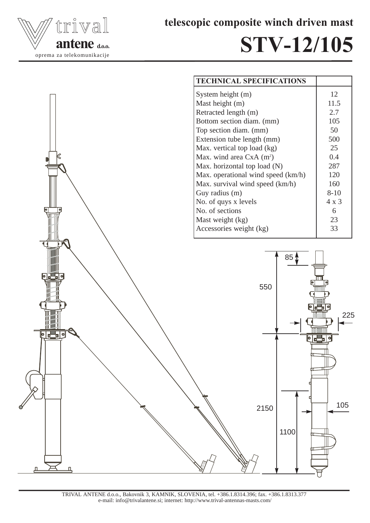

telescopic composite winch driven mast

## STV-12/105